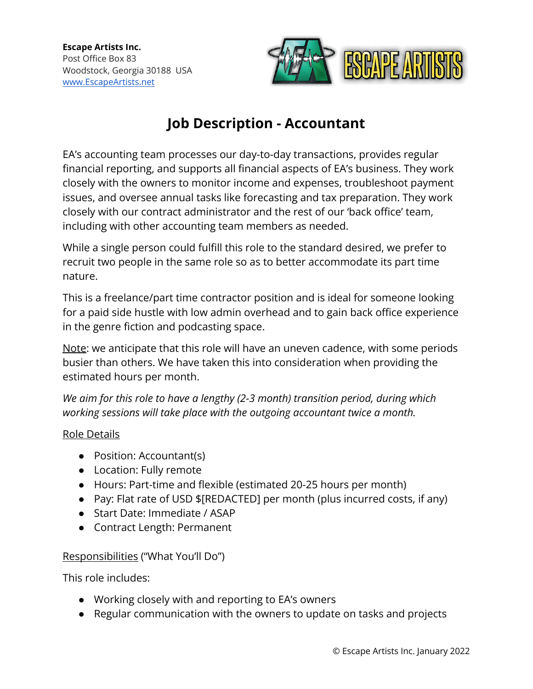

# **Job Description - Accountant**

EA's accounting team processes our day-to-day transactions, provides regular financial reporting, and supports all financial aspects of EA's business. They work closely with the owners to monitor income and expenses, troubleshoot payment issues, and oversee annual tasks like forecasting and tax preparation. They work closely with our contract administrator and the rest of our 'back office' team, including with other accounting team members as needed.

While a single person could fulfill this role to the standard desired, we prefer to recruit two people in the same role so as to better accommodate its part time nature.

This is a freelance/part time contractor position and is ideal for someone looking for a paid side hustle with low admin overhead and to gain back office experience in the genre fiction and podcasting space.

Note: we anticipate that this role will have an uneven cadence, with some periods busier than others. We have taken this into consideration when providing the estimated hours per month.

*We aim for this role to have a lengthy (2-3 month) transition period, during which working sessions will take place with the outgoing accountant twice a month.*

## Role Details

- Position: Accountant(s)
- Location: Fully remote
- Hours: Part-time and flexible (estimated 20-25 hours per month)
- Pay: Flat rate of USD \$[REDACTED] per month (plus incurred costs, if any)
- Start Date: Immediate / ASAP
- Contract Length: Permanent

## Responsibilities ("What You'll Do")

This role includes:

- Working closely with and reporting to EA's owners
- Regular communication with the owners to update on tasks and projects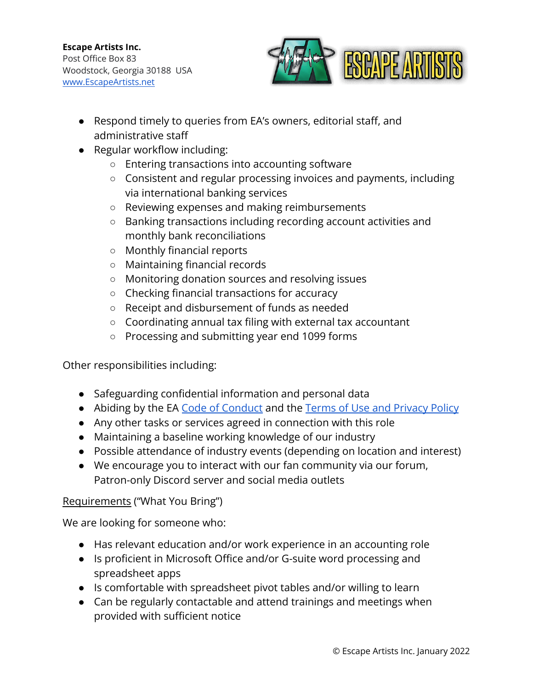

- Respond timely to queries from EA's owners, editorial staff, and administrative staff
- Regular workflow including:
	- Entering transactions into accounting software
	- Consistent and regular processing invoices and payments, including via international banking services
	- Reviewing expenses and making reimbursements
	- Banking transactions including recording account activities and monthly bank reconciliations
	- Monthly financial reports
	- Maintaining financial records
	- Monitoring donation sources and resolving issues
	- Checking financial transactions for accuracy
	- Receipt and disbursement of funds as needed
	- Coordinating annual tax filing with external tax accountant
	- Processing and submitting year end 1099 forms

Other responsibilities including:

- Safeguarding confidential information and personal data
- Abiding by the EA [Code of Conduct](https://escapeartists.net/code-of-conduct/) and the Terms of [Use and Privacy Policy](https://escapeartists.net/about-ea/legal/)
- Any other tasks or services agreed in connection with this role
- Maintaining a baseline working knowledge of our industry
- Possible attendance of industry events (depending on location and interest)
- We encourage you to interact with our fan community via our forum, Patron-only Discord server and social media outlets

## Requirements ("What You Bring")

We are looking for someone who:

- Has relevant education and/or work experience in an accounting role
- Is proficient in Microsoft Office and/or G-suite word processing and spreadsheet apps
- Is comfortable with spreadsheet pivot tables and/or willing to learn
- Can be regularly contactable and attend trainings and meetings when provided with sufficient notice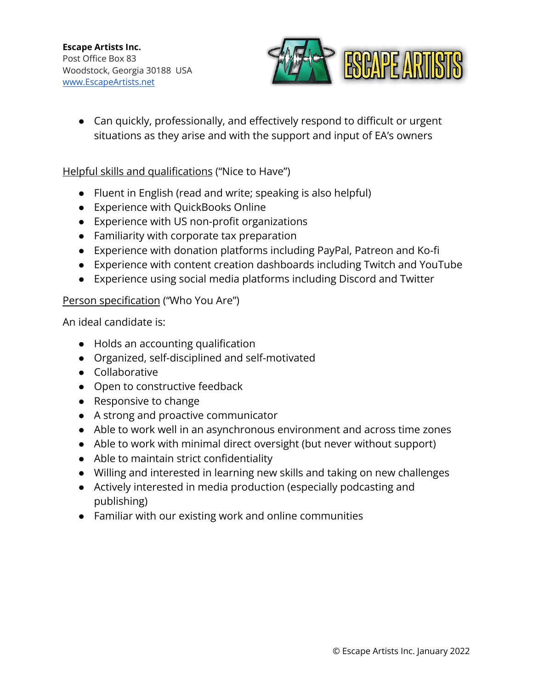

• Can quickly, professionally, and effectively respond to difficult or urgent situations as they arise and with the support and input of EA's owners

#### Helpful skills and qualifications ("Nice to Have")

- Fluent in English (read and write; speaking is also helpful)
- Experience with QuickBooks Online
- Experience with US non-profit organizations
- Familiarity with corporate tax preparation
- Experience with donation platforms including PayPal, Patreon and Ko-fi
- Experience with content creation dashboards including Twitch and YouTube
- Experience using social media platforms including Discord and Twitter

#### Person specification ("Who You Are")

An ideal candidate is:

- Holds an accounting qualification
- Organized, self-disciplined and self-motivated
- Collaborative
- Open to constructive feedback
- Responsive to change
- A strong and proactive communicator
- Able to work well in an asynchronous environment and across time zones
- Able to work with minimal direct oversight (but never without support)
- Able to maintain strict confidentiality
- Willing and interested in learning new skills and taking on new challenges
- Actively interested in media production (especially podcasting and publishing)
- Familiar with our existing work and online communities